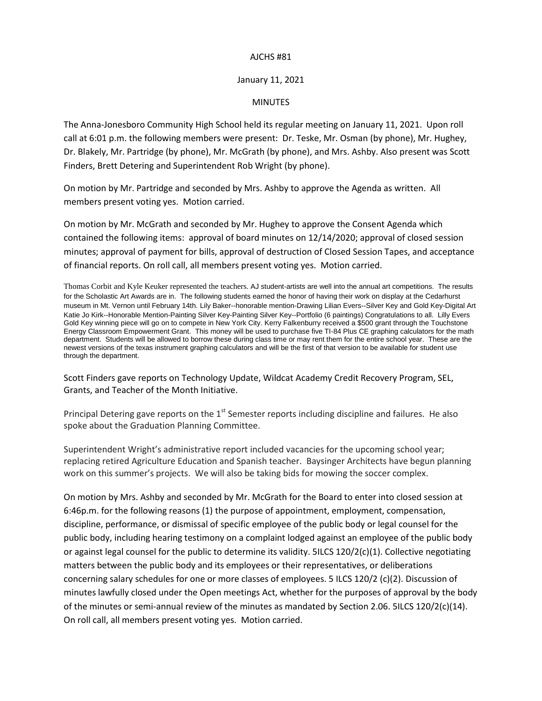## AJCHS #81

## January 11, 2021

## MINUTES

The Anna-Jonesboro Community High School held its regular meeting on January 11, 2021. Upon roll call at 6:01 p.m. the following members were present: Dr. Teske, Mr. Osman (by phone), Mr. Hughey, Dr. Blakely, Mr. Partridge (by phone), Mr. McGrath (by phone), and Mrs. Ashby. Also present was Scott Finders, Brett Detering and Superintendent Rob Wright (by phone).

On motion by Mr. Partridge and seconded by Mrs. Ashby to approve the Agenda as written. All members present voting yes. Motion carried.

On motion by Mr. McGrath and seconded by Mr. Hughey to approve the Consent Agenda which contained the following items: approval of board minutes on 12/14/2020; approval of closed session minutes; approval of payment for bills, approval of destruction of Closed Session Tapes, and acceptance of financial reports. On roll call, all members present voting yes. Motion carried.

Thomas Corbit and Kyle Keuker represented the teachers. AJ student-artists are well into the annual art competitions. The results for the Scholastic Art Awards are in. The following students earned the honor of having their work on display at the Cedarhurst museum in Mt. Vernon until February 14th. Lily Baker--honorable mention-Drawing Lilian Evers--Silver Key and Gold Key-Digital Art Katie Jo Kirk--Honorable Mention-Painting Silver Key-Painting Silver Key--Portfolio (6 paintings) Congratulations to all. Lilly Evers Gold Key winning piece will go on to compete in New York City. Kerry Falkenburry received a \$500 grant through the Touchstone Energy Classroom Empowerment Grant. This money will be used to purchase five TI-84 Plus CE graphing calculators for the math department. Students will be allowed to borrow these during class time or may rent them for the entire school year. These are the newest versions of the texas instrument graphing calculators and will be the first of that version to be available for student use through the department.

Scott Finders gave reports on Technology Update, Wildcat Academy Credit Recovery Program, SEL, Grants, and Teacher of the Month Initiative.

Principal Detering gave reports on the 1<sup>st</sup> Semester reports including discipline and failures. He also spoke about the Graduation Planning Committee.

Superintendent Wright's administrative report included vacancies for the upcoming school year; replacing retired Agriculture Education and Spanish teacher. Baysinger Architects have begun planning work on this summer's projects. We will also be taking bids for mowing the soccer complex.

On motion by Mrs. Ashby and seconded by Mr. McGrath for the Board to enter into closed session at 6:46p.m. for the following reasons (1) the purpose of appointment, employment, compensation, discipline, performance, or dismissal of specific employee of the public body or legal counsel for the public body, including hearing testimony on a complaint lodged against an employee of the public body or against legal counsel for the public to determine its validity. 5ILCS 120/2(c)(1). Collective negotiating matters between the public body and its employees or their representatives, or deliberations concerning salary schedules for one or more classes of employees. 5 ILCS 120/2 (c)(2). Discussion of minutes lawfully closed under the Open meetings Act, whether for the purposes of approval by the body of the minutes or semi-annual review of the minutes as mandated by Section 2.06. 5ILCS 120/2(c)(14). On roll call, all members present voting yes. Motion carried.